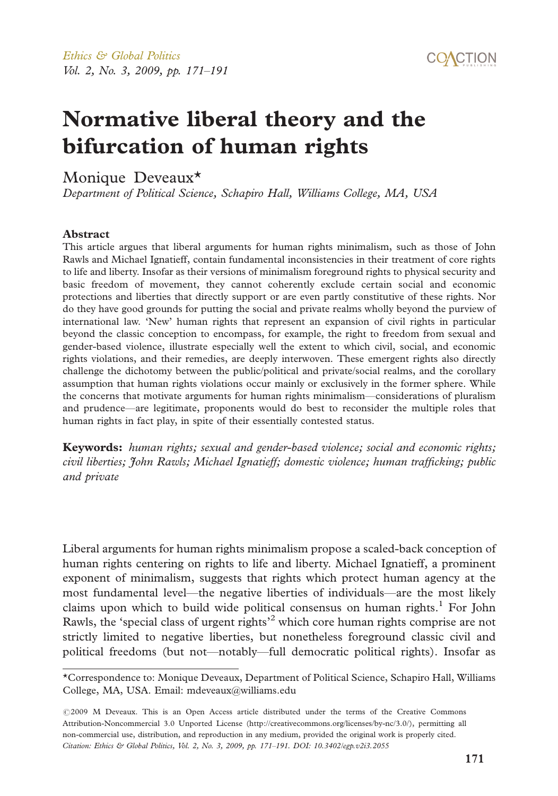

# Normative liberal theory and the bifurcation of human rights

# Monique Deveaux<sup>\*</sup>

Department of Political Science, Schapiro Hall, Williams College, MA, USA

#### Abstract

This article argues that liberal arguments for human rights minimalism, such as those of John Rawls and Michael Ignatieff, contain fundamental inconsistencies in their treatment of core rights to life and liberty. Insofar as their versions of minimalism foreground rights to physical security and basic freedom of movement, they cannot coherently exclude certain social and economic protections and liberties that directly support or are even partly constitutive of these rights. Nor do they have good grounds for putting the social and private realms wholly beyond the purview of international law. 'New' human rights that represent an expansion of civil rights in particular beyond the classic conception to encompass, for example, the right to freedom from sexual and gender-based violence, illustrate especially well the extent to which civil, social, and economic rights violations, and their remedies, are deeply interwoven. These emergent rights also directly challenge the dichotomy between the public/political and private/social realms, and the corollary assumption that human rights violations occur mainly or exclusively in the former sphere. While the concerns that motivate arguments for human rights minimalism—considerations of pluralism and prudence—are legitimate, proponents would do best to reconsider the multiple roles that human rights in fact play, in spite of their essentially contested status.

Keywords: human rights; sexual and gender-based violence; social and economic rights; civil liberties; John Rawls; Michael Ignatieff; domestic violence; human trafficking; public and private

Liberal arguments for human rights minimalism propose a scaled-back conception of human rights centering on rights to life and liberty. Michael Ignatieff, a prominent exponent of minimalism, suggests that rights which protect human agency at the most fundamental level—the negative liberties of individuals—are the most likely claims upon which to build wide political consensus on human rights.<sup>1</sup> For John Rawls, the 'special class of urgent rights'2 which core human rights comprise are not strictly limited to negative liberties, but nonetheless foreground classic civil and political freedoms (but not—notably—full democratic political rights). Insofar as

<sup>\*</sup>Correspondence to: Monique Deveaux, Department of Political Science, Schapiro Hall, Williams College, MA, USA. Email: mdeveaux@williams.edu

<span id="page-0-0"></span><sup>@2009</sup> M Deveaux. This is an Open Access article distributed under the terms of the Creative Commons Attribution-Noncommercial 3.0 Unported License (http://creativecommons.org/licenses/by-nc/3.0/), permitting all non-commercial use, distribution, and reproduction in any medium, provided the original work is properly cited. Citation: Ethics & Global Politics, Vol. 2, No. 3, 2009, pp. 171-191. DOI: 10.3402/egp.v2i3.2055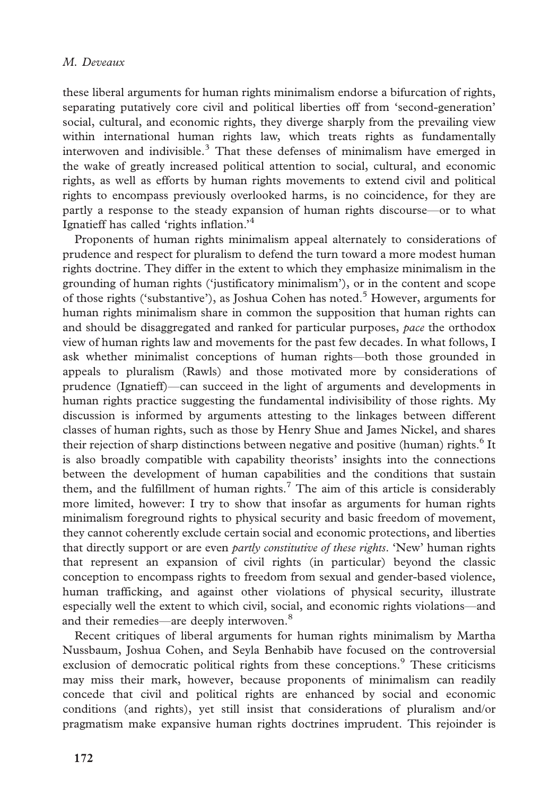these liberal arguments for human rights minimalism endorse a bifurcation of rights, separating putatively core civil and political liberties off from 'second-generation' social, cultural, and economic rights, they diverge sharply from the prevailing view within international human rights law, which treats rights as fundamentally interwoven and indivisible.<sup>3</sup> That these defenses of minimalism have emerged in the wake of greatly increased political attention to social, cultural, and economic rights, as well as efforts by human rights movements to extend civil and political rights to encompass previously overlooked harms, is no coincidence, for they are partly a response to the steady expansion of human rights discourse—or to what Ignatieff has called 'rights inflation.'<sup>4</sup>

Proponents of human rights minimalism appeal alternately to considerations of prudence and respect for pluralism to defend the turn toward a more modest human rights doctrine. They differ in the extent to which they emphasize minimalism in the grounding of human rights ('justificatory minimalism'), or in the content and scope of those rights ('substantive'), as Joshua Cohen has noted.<sup>5</sup> However, arguments for human rights minimalism share in common the supposition that human rights can and should be disaggregated and ranked for particular purposes, pace the orthodox view of human rights law and movements for the past few decades. In what follows, I ask whether minimalist conceptions of human rights—both those grounded in appeals to pluralism (Rawls) and those motivated more by considerations of prudence (Ignatieff)—can succeed in the light of arguments and developments in human rights practice suggesting the fundamental indivisibility of those rights. My discussion is informed by arguments attesting to the linkages between different classes of human rights, such as those by Henry Shue and James Nickel, and shares their rejection of sharp distinctions between negative and positive (human) rights.<sup>6</sup> It is also broadly compatible with capability theorists' insights into the connections between the development of human capabilities and the conditions that sustain them, and the fulfillment of human rights.<sup>7</sup> The aim of this article is considerably more limited, however: I try to show that insofar as arguments for human rights minimalism foreground rights to physical security and basic freedom of movement, they cannot coherently exclude certain social and economic protections, and liberties that directly support or are even partly constitutive of these rights. 'New' human rights that represent an expansion of civil rights (in particular) beyond the classic conception to encompass rights to freedom from sexual and gender-based violence, human trafficking, and against other violations of physical security, illustrate especially well the extent to which civil, social, and economic rights violations—and and their remedies—are deeply interwoven.<sup>8</sup>

Recent critiques of liberal arguments for human rights minimalism by Martha Nussbaum, Joshua Cohen, and Seyla Benhabib have focused on the controversial exclusion of democratic political rights from these conceptions.<sup>9</sup> These criticisms may miss their mark, however, because proponents of minimalism can readily concede that civil and political rights are enhanced by social and economic conditions (and rights), yet still insist that considerations of pluralism and/or pragmatism make expansive human rights doctrines imprudent. This rejoinder is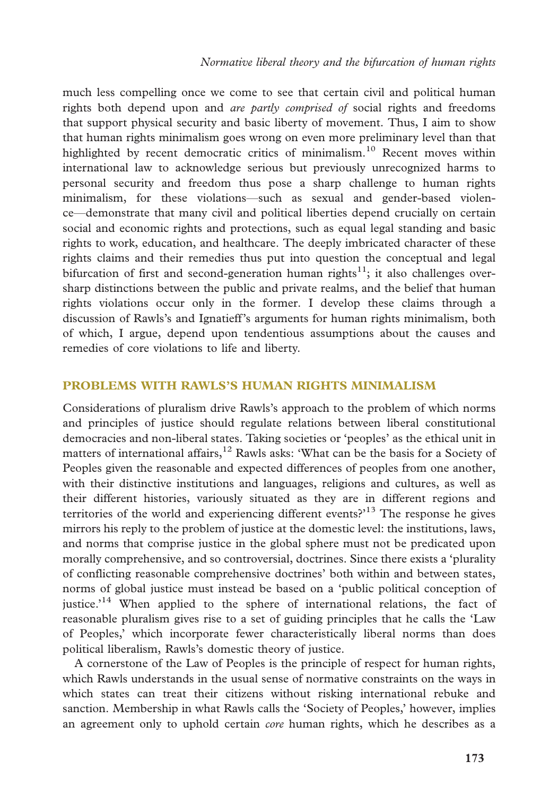much less compelling once we come to see that certain civil and political human rights both depend upon and are partly comprised of social rights and freedoms that support physical security and basic liberty of movement. Thus, I aim to show that human rights minimalism goes wrong on even more preliminary level than that highlighted by recent democratic critics of minimalism.<sup>10</sup> Recent moves within international law to acknowledge serious but previously unrecognized harms to personal security and freedom thus pose a sharp challenge to human rights minimalism, for these violations—such as sexual and gender-based violence\*demonstrate that many civil and political liberties depend crucially on certain social and economic rights and protections, such as equal legal standing and basic rights to work, education, and healthcare. The deeply imbricated character of these rights claims and their remedies thus put into question the conceptual and legal bifurcation of first and second-generation human rights<sup>11</sup>; it also challenges oversharp distinctions between the public and private realms, and the belief that human rights violations occur only in the former. I develop these claims through a discussion of Rawls's and Ignatieff's arguments for human rights minimalism, both of which, I argue, depend upon tendentious assumptions about the causes and remedies of core violations to life and liberty.

# PROBLEMS WITH RAWLS'S HUMAN RIGHTS MINIMALISM

Considerations of pluralism drive Rawls's approach to the problem of which norms and principles of justice should regulate relations between liberal constitutional democracies and non-liberal states. Taking societies or 'peoples' as the ethical unit in matters of international affairs,<sup>12</sup> Rawls asks: 'What can be the basis for a Society of Peoples given the reasonable and expected differences of peoples from one another, with their distinctive institutions and languages, religions and cultures, as well as their different histories, variously situated as they are in different regions and territories of the world and experiencing different events?<sup> $13$ </sup> The response he gives mirrors his reply to the problem of justice at the domestic level: the institutions, laws, and norms that comprise justice in the global sphere must not be predicated upon morally comprehensive, and so controversial, doctrines. Since there exists a 'plurality of conflicting reasonable comprehensive doctrines' both within and between states, norms of global justice must instead be based on a 'public political conception of justice.<sup>'14</sup> When applied to the sphere of international relations, the fact of reasonable pluralism gives rise to a set of guiding principles that he calls the 'Law of Peoples,' which incorporate fewer characteristically liberal norms than does political liberalism, Rawls's domestic theory of justice.

A cornerstone of the Law of Peoples is the principle of respect for human rights, which Rawls understands in the usual sense of normative constraints on the ways in which states can treat their citizens without risking international rebuke and sanction. Membership in what Rawls calls the 'Society of Peoples,' however, implies an agreement only to uphold certain *core* human rights, which he describes as a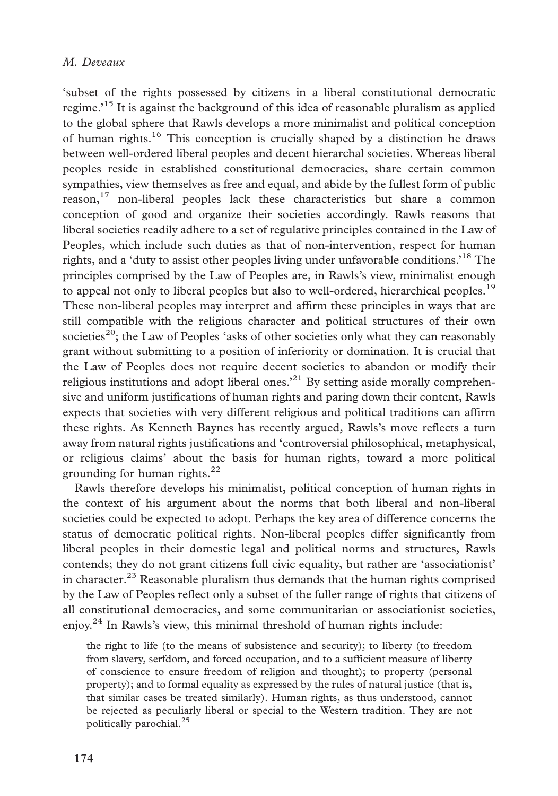'subset of the rights possessed by citizens in a liberal constitutional democratic regime.<sup>15</sup> It is against the background of this idea of reasonable pluralism as applied to the global sphere that Rawls develops a more minimalist and political conception of human rights.16 This conception is crucially shaped by a distinction he draws between well-ordered liberal peoples and decent hierarchal societies. Whereas liberal peoples reside in established constitutional democracies, share certain common sympathies, view themselves as free and equal, and abide by the fullest form of public reason, $17$  non-liberal peoples lack these characteristics but share a common conception of good and organize their societies accordingly. Rawls reasons that liberal societies readily adhere to a set of regulative principles contained in the Law of Peoples, which include such duties as that of non-intervention, respect for human rights, and a 'duty to assist other peoples living under unfavorable conditions.'18 The principles comprised by the Law of Peoples are, in Rawls's view, minimalist enough to appeal not only to liberal peoples but also to well-ordered, hierarchical peoples.<sup>19</sup> These non-liberal peoples may interpret and affirm these principles in ways that are still compatible with the religious character and political structures of their own societies<sup>20</sup>; the Law of Peoples 'asks of other societies only what they can reasonably grant without submitting to a position of inferiority or domination. It is crucial that the Law of Peoples does not require decent societies to abandon or modify their religious institutions and adopt liberal ones.<sup>21</sup> By setting aside morally comprehensive and uniform justifications of human rights and paring down their content, Rawls expects that societies with very different religious and political traditions can affirm these rights. As Kenneth Baynes has recently argued, Rawls's move reflects a turn away from natural rights justifications and 'controversial philosophical, metaphysical, or religious claims' about the basis for human rights, toward a more political grounding for human rights. $^{22}$ 

Rawls therefore develops his minimalist, political conception of human rights in the context of his argument about the norms that both liberal and non-liberal societies could be expected to adopt. Perhaps the key area of difference concerns the status of democratic political rights. Non-liberal peoples differ significantly from liberal peoples in their domestic legal and political norms and structures, Rawls contends; they do not grant citizens full civic equality, but rather are 'associationist' in character.<sup>23</sup> Reasonable pluralism thus demands that the human rights comprised by the Law of Peoples reflect only a subset of the fuller range of rights that citizens of all constitutional democracies, and some communitarian or associationist societies, eniov. $24$  In Rawls's view, this minimal threshold of human rights include:

the right to life (to the means of subsistence and security); to liberty (to freedom from slavery, serfdom, and forced occupation, and to a sufficient measure of liberty of conscience to ensure freedom of religion and thought); to property (personal property); and to formal equality as expressed by the rules of natural justice (that is, that similar cases be treated similarly). Human rights, as thus understood, cannot be rejected as peculiarly liberal or special to the Western tradition. They are not politically parochial.<sup>25</sup>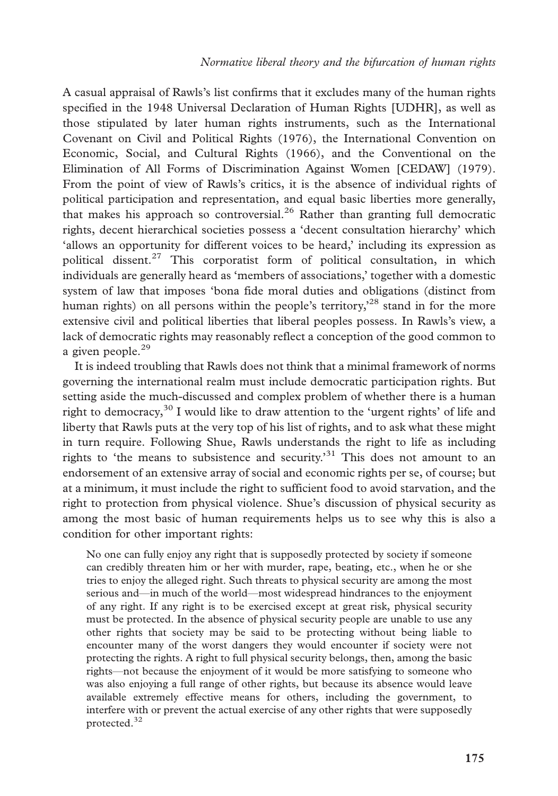A casual appraisal of Rawls's list confirms that it excludes many of the human rights specified in the 1948 Universal Declaration of Human Rights [UDHR], as well as those stipulated by later human rights instruments, such as the International Covenant on Civil and Political Rights (1976), the International Convention on Economic, Social, and Cultural Rights (1966), and the Conventional on the Elimination of All Forms of Discrimination Against Women [CEDAW] (1979). From the point of view of Rawls's critics, it is the absence of individual rights of political participation and representation, and equal basic liberties more generally, that makes his approach so controversial.26 Rather than granting full democratic rights, decent hierarchical societies possess a 'decent consultation hierarchy' which 'allows an opportunity for different voices to be heard,' including its expression as political dissent.<sup>27</sup> This corporatist form of political consultation, in which individuals are generally heard as 'members of associations,' together with a domestic system of law that imposes 'bona fide moral duties and obligations (distinct from human rights) on all persons within the people's territory,<sup>28</sup> stand in for the more extensive civil and political liberties that liberal peoples possess. In Rawls's view, a lack of democratic rights may reasonably reflect a conception of the good common to a given people.<sup>29</sup>

It is indeed troubling that Rawls does not think that a minimal framework of norms governing the international realm must include democratic participation rights. But setting aside the much-discussed and complex problem of whether there is a human right to democracy,<sup>30</sup> I would like to draw attention to the 'urgent rights' of life and liberty that Rawls puts at the very top of his list of rights, and to ask what these might in turn require. Following Shue, Rawls understands the right to life as including rights to 'the means to subsistence and security.<sup>31</sup> This does not amount to an endorsement of an extensive array of social and economic rights per se, of course; but at a minimum, it must include the right to sufficient food to avoid starvation, and the right to protection from physical violence. Shue's discussion of physical security as among the most basic of human requirements helps us to see why this is also a condition for other important rights:

No one can fully enjoy any right that is supposedly protected by society if someone can credibly threaten him or her with murder, rape, beating, etc., when he or she tries to enjoy the alleged right. Such threats to physical security are among the most serious and—in much of the world—most widespread hindrances to the enjoyment of any right. If any right is to be exercised except at great risk, physical security must be protected. In the absence of physical security people are unable to use any other rights that society may be said to be protecting without being liable to encounter many of the worst dangers they would encounter if society were not protecting the rights. A right to full physical security belongs, then, among the basic rights—not because the enjoyment of it would be more satisfying to someone who was also enjoying a full range of other rights, but because its absence would leave available extremely effective means for others, including the government, to interfere with or prevent the actual exercise of any other rights that were supposedly protected.<sup>32</sup>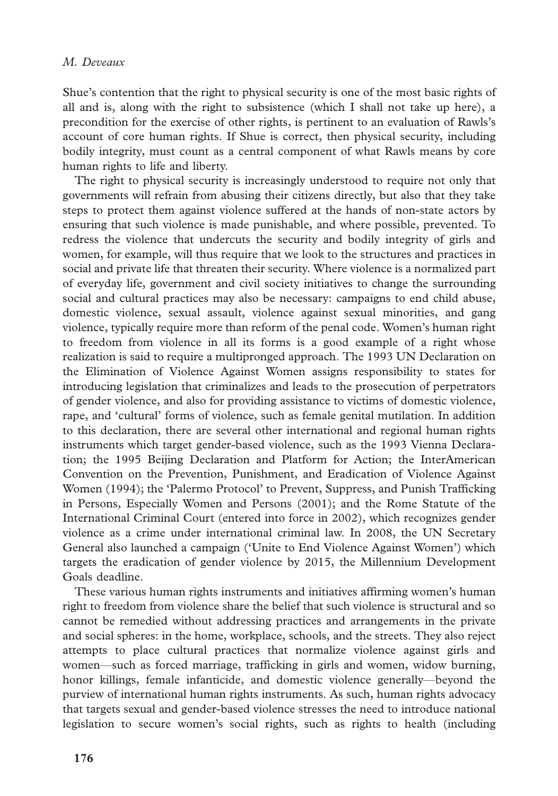Shue's contention that the right to physical security is one of the most basic rights of all and is, along with the right to subsistence (which I shall not take up here), a precondition for the exercise of other rights, is pertinent to an evaluation of Rawls's account of core human rights. If Shue is correct, then physical security, including bodily integrity, must count as a central component of what Rawls means by core human rights to life and liberty.

The right to physical security is increasingly understood to require not only that governments will refrain from abusing their citizens directly, but also that they take steps to protect them against violence suffered at the hands of non-state actors by ensuring that such violence is made punishable, and where possible, prevented. To redress the violence that undercuts the security and bodily integrity of girls and women, for example, will thus require that we look to the structures and practices in social and private life that threaten their security. Where violence is a normalized part of everyday life, government and civil society initiatives to change the surrounding social and cultural practices may also be necessary: campaigns to end child abuse, domestic violence, sexual assault, violence against sexual minorities, and gang violence, typically require more than reform of the penal code. Women's human right to freedom from violence in all its forms is a good example of a right whose realization is said to require a multipronged approach. The 1993 UN Declaration on the Elimination of Violence Against Women assigns responsibility to states for introducing legislation that criminalizes and leads to the prosecution of perpetrators of gender violence, and also for providing assistance to victims of domestic violence, rape, and 'cultural' forms of violence, such as female genital mutilation. In addition to this declaration, there are several other international and regional human rights instruments which target gender-based violence, such as the 1993 Vienna Declaration; the 1995 Beijing Declaration and Platform for Action; the InterAmerican Convention on the Prevention, Punishment, and Eradication of Violence Against Women (1994); the 'Palermo Protocol' to Prevent, Suppress, and Punish Trafficking in Persons, Especially Women and Persons (2001); and the Rome Statute of the International Criminal Court (entered into force in 2002), which recognizes gender violence as a crime under international criminal law. In 2008, the UN Secretary General also launched a campaign ('Unite to End Violence Against Women') which targets the eradication of gender violence by 2015, the Millennium Development Goals deadline.

These various human rights instruments and initiatives affirming women's human right to freedom from violence share the belief that such violence is structural and so cannot be remedied without addressing practices and arrangements in the private and social spheres: in the home, workplace, schools, and the streets. They also reject attempts to place cultural practices that normalize violence against girls and women—such as forced marriage, trafficking in girls and women, widow burning, honor killings, female infanticide, and domestic violence generally—beyond the purview of international human rights instruments. As such, human rights advocacy that targets sexual and gender-based violence stresses the need to introduce national legislation to secure women's social rights, such as rights to health (including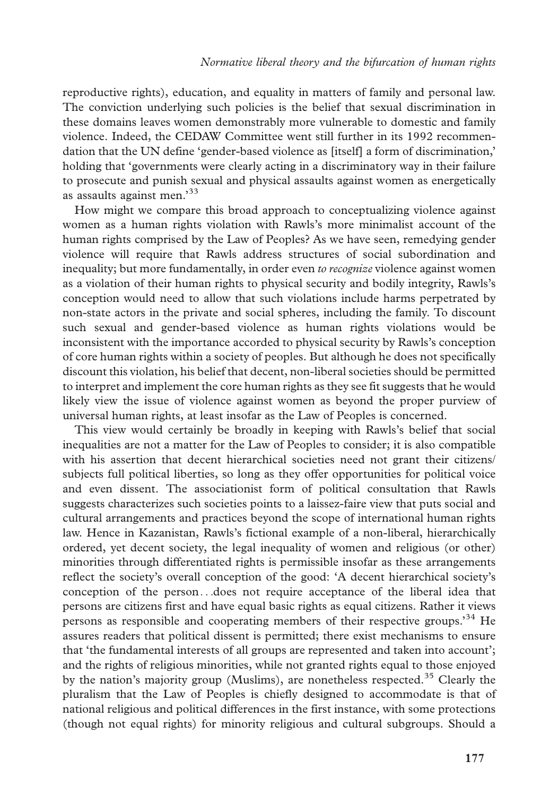reproductive rights), education, and equality in matters of family and personal law. The conviction underlying such policies is the belief that sexual discrimination in these domains leaves women demonstrably more vulnerable to domestic and family violence. Indeed, the CEDAW Committee went still further in its 1992 recommendation that the UN define 'gender-based violence as [itself] a form of discrimination,' holding that 'governments were clearly acting in a discriminatory way in their failure to prosecute and punish sexual and physical assaults against women as energetically as assaults against men.'33

How might we compare this broad approach to conceptualizing violence against women as a human rights violation with Rawls's more minimalist account of the human rights comprised by the Law of Peoples? As we have seen, remedying gender violence will require that Rawls address structures of social subordination and inequality; but more fundamentally, in order even to recognize violence against women as a violation of their human rights to physical security and bodily integrity, Rawls's conception would need to allow that such violations include harms perpetrated by non-state actors in the private and social spheres, including the family. To discount such sexual and gender-based violence as human rights violations would be inconsistent with the importance accorded to physical security by Rawls's conception of core human rights within a society of peoples. But although he does not specifically discount this violation, his belief that decent, non-liberal societies should be permitted to interpret and implement the core human rights as they see fit suggests that he would likely view the issue of violence against women as beyond the proper purview of universal human rights, at least insofar as the Law of Peoples is concerned.

This view would certainly be broadly in keeping with Rawls's belief that social inequalities are not a matter for the Law of Peoples to consider; it is also compatible with his assertion that decent hierarchical societies need not grant their citizens/ subjects full political liberties, so long as they offer opportunities for political voice and even dissent. The associationist form of political consultation that Rawls suggests characterizes such societies points to a laissez-faire view that puts social and cultural arrangements and practices beyond the scope of international human rights law. Hence in Kazanistan, Rawls's fictional example of a non-liberal, hierarchically ordered, yet decent society, the legal inequality of women and religious (or other) minorities through differentiated rights is permissible insofar as these arrangements reflect the society's overall conception of the good: 'A decent hierarchical society's conception of the person. . .does not require acceptance of the liberal idea that persons are citizens first and have equal basic rights as equal citizens. Rather it views persons as responsible and cooperating members of their respective groups.'34 He assures readers that political dissent is permitted; there exist mechanisms to ensure that 'the fundamental interests of all groups are represented and taken into account'; and the rights of religious minorities, while not granted rights equal to those enjoyed by the nation's majority group (Muslims), are nonetheless respected.<sup>35</sup> Clearly the pluralism that the Law of Peoples is chiefly designed to accommodate is that of national religious and political differences in the first instance, with some protections (though not equal rights) for minority religious and cultural subgroups. Should a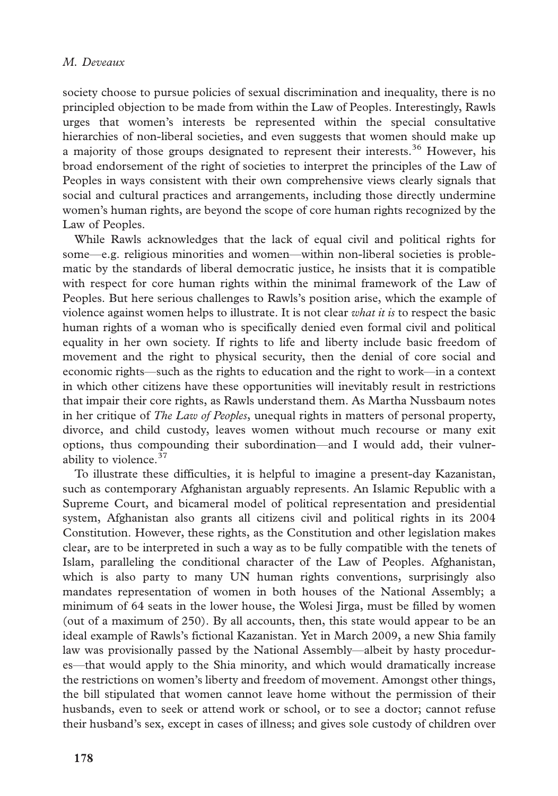society choose to pursue policies of sexual discrimination and inequality, there is no principled objection to be made from within the Law of Peoples. Interestingly, Rawls urges that women's interests be represented within the special consultative hierarchies of non-liberal societies, and even suggests that women should make up a majority of those groups designated to represent their interests.<sup>36</sup> However, his broad endorsement of the right of societies to interpret the principles of the Law of Peoples in ways consistent with their own comprehensive views clearly signals that social and cultural practices and arrangements, including those directly undermine women's human rights, are beyond the scope of core human rights recognized by the Law of Peoples.

While Rawls acknowledges that the lack of equal civil and political rights for some—e.g. religious minorities and women—within non-liberal societies is problematic by the standards of liberal democratic justice, he insists that it is compatible with respect for core human rights within the minimal framework of the Law of Peoples. But here serious challenges to Rawls's position arise, which the example of violence against women helps to illustrate. It is not clear what it is to respect the basic human rights of a woman who is specifically denied even formal civil and political equality in her own society. If rights to life and liberty include basic freedom of movement and the right to physical security, then the denial of core social and economic rights—such as the rights to education and the right to work—in a context in which other citizens have these opportunities will inevitably result in restrictions that impair their core rights, as Rawls understand them. As Martha Nussbaum notes in her critique of The Law of Peoples, unequal rights in matters of personal property, divorce, and child custody, leaves women without much recourse or many exit options, thus compounding their subordination—and I would add, their vulnerability to violence. $37$ 

To illustrate these difficulties, it is helpful to imagine a present-day Kazanistan, such as contemporary Afghanistan arguably represents. An Islamic Republic with a Supreme Court, and bicameral model of political representation and presidential system, Afghanistan also grants all citizens civil and political rights in its 2004 Constitution. However, these rights, as the Constitution and other legislation makes clear, are to be interpreted in such a way as to be fully compatible with the tenets of Islam, paralleling the conditional character of the Law of Peoples. Afghanistan, which is also party to many UN human rights conventions, surprisingly also mandates representation of women in both houses of the National Assembly; a minimum of 64 seats in the lower house, the Wolesi Jirga, must be filled by women (out of a maximum of 250). By all accounts, then, this state would appear to be an ideal example of Rawls's fictional Kazanistan. Yet in March 2009, a new Shia family law was provisionally passed by the National Assembly—albeit by hasty procedures—that would apply to the Shia minority, and which would dramatically increase the restrictions on women's liberty and freedom of movement. Amongst other things, the bill stipulated that women cannot leave home without the permission of their husbands, even to seek or attend work or school, or to see a doctor; cannot refuse their husband's sex, except in cases of illness; and gives sole custody of children over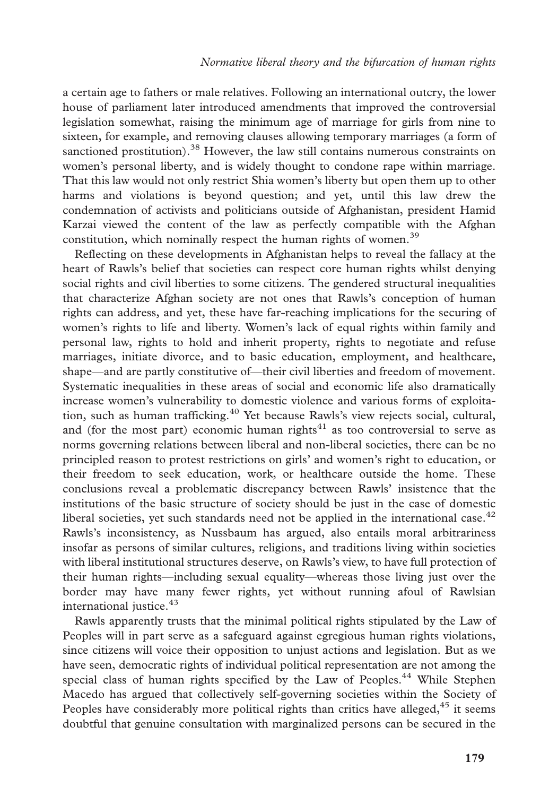a certain age to fathers or male relatives. Following an international outcry, the lower house of parliament later introduced amendments that improved the controversial legislation somewhat, raising the minimum age of marriage for girls from nine to sixteen, for example, and removing clauses allowing temporary marriages (a form of sanctioned prostitution).<sup>38</sup> However, the law still contains numerous constraints on women's personal liberty, and is widely thought to condone rape within marriage. That this law would not only restrict Shia women's liberty but open them up to other harms and violations is beyond question; and yet, until this law drew the condemnation of activists and politicians outside of Afghanistan, president Hamid Karzai viewed the content of the law as perfectly compatible with the Afghan constitution, which nominally respect the human rights of women.<sup>39</sup>

Reflecting on these developments in Afghanistan helps to reveal the fallacy at the heart of Rawls's belief that societies can respect core human rights whilst denying social rights and civil liberties to some citizens. The gendered structural inequalities that characterize Afghan society are not ones that Rawls's conception of human rights can address, and yet, these have far-reaching implications for the securing of women's rights to life and liberty. Women's lack of equal rights within family and personal law, rights to hold and inherit property, rights to negotiate and refuse marriages, initiate divorce, and to basic education, employment, and healthcare, shape—and are partly constitutive of—their civil liberties and freedom of movement. Systematic inequalities in these areas of social and economic life also dramatically increase women's vulnerability to domestic violence and various forms of exploitation, such as human trafficking.<sup>40</sup> Yet because Rawls's view rejects social, cultural, and (for the most part) economic human rights $41$  as too controversial to serve as norms governing relations between liberal and non-liberal societies, there can be no principled reason to protest restrictions on girls' and women's right to education, or their freedom to seek education, work, or healthcare outside the home. These conclusions reveal a problematic discrepancy between Rawls' insistence that the institutions of the basic structure of society should be just in the case of domestic liberal societies, yet such standards need not be applied in the international case. $42$ Rawls's inconsistency, as Nussbaum has argued, also entails moral arbitrariness insofar as persons of similar cultures, religions, and traditions living within societies with liberal institutional structures deserve, on Rawls's view, to have full protection of their human rights—including sexual equality—whereas those living just over the border may have many fewer rights, yet without running afoul of Rawlsian international justice.<sup>43</sup>

Rawls apparently trusts that the minimal political rights stipulated by the Law of Peoples will in part serve as a safeguard against egregious human rights violations, since citizens will voice their opposition to unjust actions and legislation. But as we have seen, democratic rights of individual political representation are not among the special class of human rights specified by the Law of Peoples.<sup>44</sup> While Stephen Macedo has argued that collectively self-governing societies within the Society of Peoples have considerably more political rights than critics have alleged, $4<sup>5</sup>$  it seems doubtful that genuine consultation with marginalized persons can be secured in the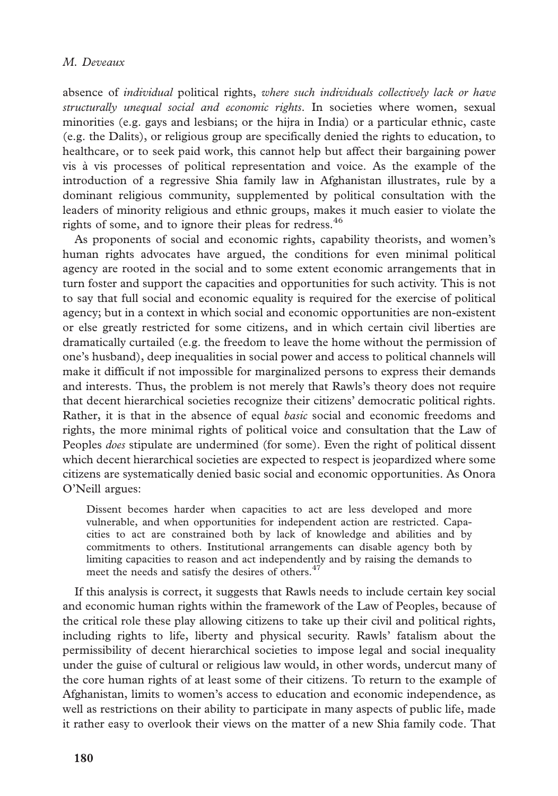absence of *individual* political rights, where such individuals collectively lack or have structurally unequal social and economic rights. In societies where women, sexual minorities (e.g. gays and lesbians; or the hijra in India) or a particular ethnic, caste (e.g. the Dalits), or religious group are specifically denied the rights to education, to healthcare, or to seek paid work, this cannot help but affect their bargaining power vis a` vis processes of political representation and voice. As the example of the introduction of a regressive Shia family law in Afghanistan illustrates, rule by a dominant religious community, supplemented by political consultation with the leaders of minority religious and ethnic groups, makes it much easier to violate the rights of some, and to ignore their pleas for redress.<sup>46</sup>

As proponents of social and economic rights, capability theorists, and women's human rights advocates have argued, the conditions for even minimal political agency are rooted in the social and to some extent economic arrangements that in turn foster and support the capacities and opportunities for such activity. This is not to say that full social and economic equality is required for the exercise of political agency; but in a context in which social and economic opportunities are non-existent or else greatly restricted for some citizens, and in which certain civil liberties are dramatically curtailed (e.g. the freedom to leave the home without the permission of one's husband), deep inequalities in social power and access to political channels will make it difficult if not impossible for marginalized persons to express their demands and interests. Thus, the problem is not merely that Rawls's theory does not require that decent hierarchical societies recognize their citizens' democratic political rights. Rather, it is that in the absence of equal basic social and economic freedoms and rights, the more minimal rights of political voice and consultation that the Law of Peoples does stipulate are undermined (for some). Even the right of political dissent which decent hierarchical societies are expected to respect is jeopardized where some citizens are systematically denied basic social and economic opportunities. As Onora O'Neill argues:

Dissent becomes harder when capacities to act are less developed and more vulnerable, and when opportunities for independent action are restricted. Capacities to act are constrained both by lack of knowledge and abilities and by commitments to others. Institutional arrangements can disable agency both by limiting capacities to reason and act independently and by raising the demands to meet the needs and satisfy the desires of others.<sup>47</sup>

If this analysis is correct, it suggests that Rawls needs to include certain key social and economic human rights within the framework of the Law of Peoples, because of the critical role these play allowing citizens to take up their civil and political rights, including rights to life, liberty and physical security. Rawls' fatalism about the permissibility of decent hierarchical societies to impose legal and social inequality under the guise of cultural or religious law would, in other words, undercut many of the core human rights of at least some of their citizens. To return to the example of Afghanistan, limits to women's access to education and economic independence, as well as restrictions on their ability to participate in many aspects of public life, made it rather easy to overlook their views on the matter of a new Shia family code. That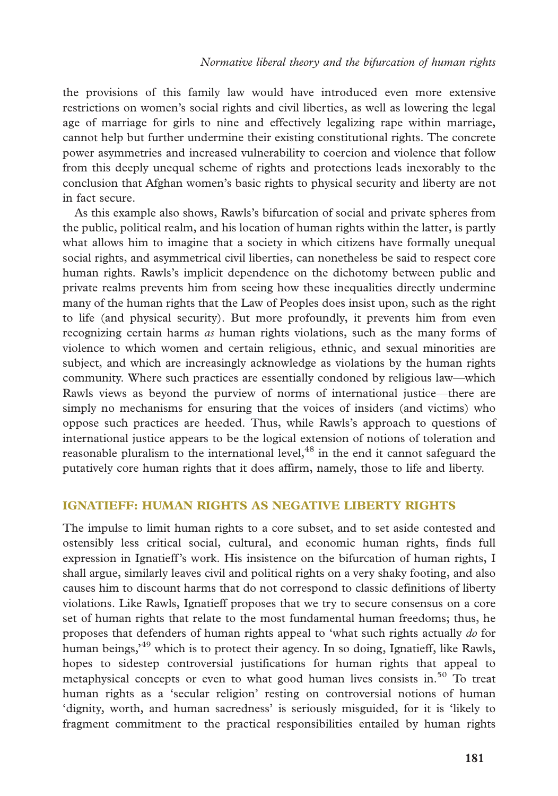the provisions of this family law would have introduced even more extensive restrictions on women's social rights and civil liberties, as well as lowering the legal age of marriage for girls to nine and effectively legalizing rape within marriage, cannot help but further undermine their existing constitutional rights. The concrete power asymmetries and increased vulnerability to coercion and violence that follow from this deeply unequal scheme of rights and protections leads inexorably to the conclusion that Afghan women's basic rights to physical security and liberty are not in fact secure.

As this example also shows, Rawls's bifurcation of social and private spheres from the public, political realm, and his location of human rights within the latter, is partly what allows him to imagine that a society in which citizens have formally unequal social rights, and asymmetrical civil liberties, can nonetheless be said to respect core human rights. Rawls's implicit dependence on the dichotomy between public and private realms prevents him from seeing how these inequalities directly undermine many of the human rights that the Law of Peoples does insist upon, such as the right to life (and physical security). But more profoundly, it prevents him from even recognizing certain harms as human rights violations, such as the many forms of violence to which women and certain religious, ethnic, and sexual minorities are subject, and which are increasingly acknowledge as violations by the human rights community. Where such practices are essentially condoned by religious law—which Rawls views as beyond the purview of norms of international justice—there are simply no mechanisms for ensuring that the voices of insiders (and victims) who oppose such practices are heeded. Thus, while Rawls's approach to questions of international justice appears to be the logical extension of notions of toleration and reasonable pluralism to the international level, $48$  in the end it cannot safeguard the putatively core human rights that it does affirm, namely, those to life and liberty.

# IGNATIEFF: HUMAN RIGHTS AS NEGATIVE LIBERTY RIGHTS

The impulse to limit human rights to a core subset, and to set aside contested and ostensibly less critical social, cultural, and economic human rights, finds full expression in Ignatieff's work. His insistence on the bifurcation of human rights, I shall argue, similarly leaves civil and political rights on a very shaky footing, and also causes him to discount harms that do not correspond to classic definitions of liberty violations. Like Rawls, Ignatieff proposes that we try to secure consensus on a core set of human rights that relate to the most fundamental human freedoms; thus, he proposes that defenders of human rights appeal to 'what such rights actually do for human beings,<sup>49</sup> which is to protect their agency. In so doing, Ignatieff, like Rawls, hopes to sidestep controversial justifications for human rights that appeal to metaphysical concepts or even to what good human lives consists in. $50$  To treat human rights as a 'secular religion' resting on controversial notions of human 'dignity, worth, and human sacredness' is seriously misguided, for it is 'likely to fragment commitment to the practical responsibilities entailed by human rights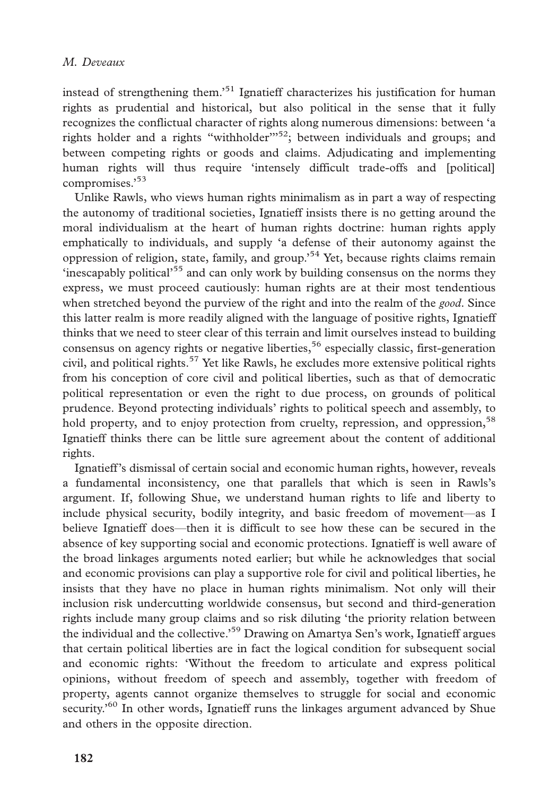instead of strengthening them.'<sup>51</sup> Ignatieff characterizes his justification for human rights as prudential and historical, but also political in the sense that it fully recognizes the conflictual character of rights along numerous dimensions: between 'a rights holder and a rights "withholder"<sup>52</sup>; between individuals and groups; and between competing rights or goods and claims. Adjudicating and implementing human rights will thus require 'intensely difficult trade-offs and [political] compromises.'53

Unlike Rawls, who views human rights minimalism as in part a way of respecting the autonomy of traditional societies, Ignatieff insists there is no getting around the moral individualism at the heart of human rights doctrine: human rights apply emphatically to individuals, and supply 'a defense of their autonomy against the oppression of religion, state, family, and group.'54 Yet, because rights claims remain 'inescapably political'<sup>55</sup> and can only work by building consensus on the norms they express, we must proceed cautiously: human rights are at their most tendentious when stretched beyond the purview of the right and into the realm of the *good*. Since this latter realm is more readily aligned with the language of positive rights, Ignatieff thinks that we need to steer clear of this terrain and limit ourselves instead to building consensus on agency rights or negative liberties,<sup>56</sup> especially classic, first-generation civil, and political rights.<sup>57</sup> Yet like Rawls, he excludes more extensive political rights from his conception of core civil and political liberties, such as that of democratic political representation or even the right to due process, on grounds of political prudence. Beyond protecting individuals' rights to political speech and assembly, to hold property, and to enjoy protection from cruelty, repression, and oppression, $5^8$ Ignatieff thinks there can be little sure agreement about the content of additional rights.

Ignatieff's dismissal of certain social and economic human rights, however, reveals a fundamental inconsistency, one that parallels that which is seen in Rawls's argument. If, following Shue, we understand human rights to life and liberty to include physical security, bodily integrity, and basic freedom of movement—as  $I$ believe Ignatieff does—then it is difficult to see how these can be secured in the absence of key supporting social and economic protections. Ignatieff is well aware of the broad linkages arguments noted earlier; but while he acknowledges that social and economic provisions can play a supportive role for civil and political liberties, he insists that they have no place in human rights minimalism. Not only will their inclusion risk undercutting worldwide consensus, but second and third-generation rights include many group claims and so risk diluting 'the priority relation between the individual and the collective.'<sup>59</sup> Drawing on Amartya Sen's work, Ignatieff argues that certain political liberties are in fact the logical condition for subsequent social and economic rights: 'Without the freedom to articulate and express political opinions, without freedom of speech and assembly, together with freedom of property, agents cannot organize themselves to struggle for social and economic security.'<sup>60</sup> In other words, Ignatieff runs the linkages argument advanced by Shue and others in the opposite direction.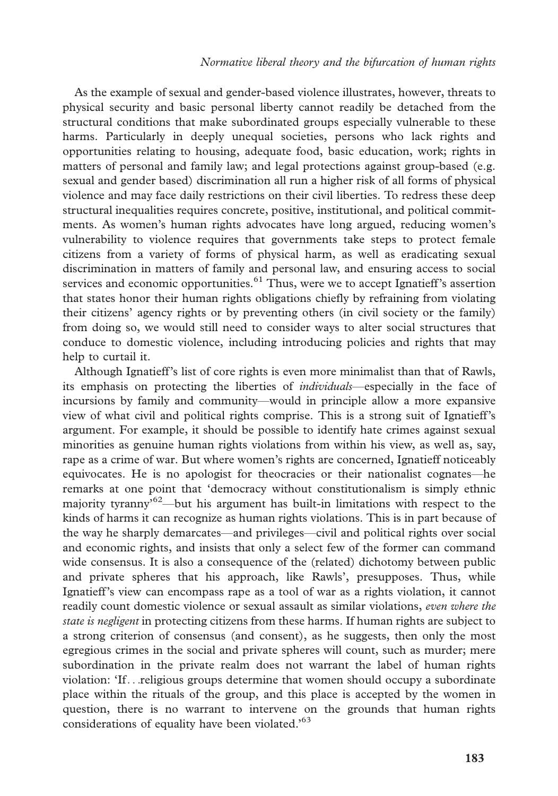As the example of sexual and gender-based violence illustrates, however, threats to physical security and basic personal liberty cannot readily be detached from the structural conditions that make subordinated groups especially vulnerable to these harms. Particularly in deeply unequal societies, persons who lack rights and opportunities relating to housing, adequate food, basic education, work; rights in matters of personal and family law; and legal protections against group-based (e.g. sexual and gender based) discrimination all run a higher risk of all forms of physical violence and may face daily restrictions on their civil liberties. To redress these deep structural inequalities requires concrete, positive, institutional, and political commitments. As women's human rights advocates have long argued, reducing women's vulnerability to violence requires that governments take steps to protect female citizens from a variety of forms of physical harm, as well as eradicating sexual discrimination in matters of family and personal law, and ensuring access to social services and economic opportunities.<sup>61</sup> Thus, were we to accept Ignatieff's assertion that states honor their human rights obligations chiefly by refraining from violating their citizens' agency rights or by preventing others (in civil society or the family) from doing so, we would still need to consider ways to alter social structures that conduce to domestic violence, including introducing policies and rights that may help to curtail it.

Although Ignatieff's list of core rights is even more minimalist than that of Rawls, its emphasis on protecting the liberties of *individuals*—especially in the face of incursions by family and community—would in principle allow a more expansive view of what civil and political rights comprise. This is a strong suit of Ignatieff's argument. For example, it should be possible to identify hate crimes against sexual minorities as genuine human rights violations from within his view, as well as, say, rape as a crime of war. But where women's rights are concerned, Ignatieff noticeably equivocates. He is no apologist for theocracies or their nationalist cognates—he remarks at one point that 'democracy without constitutionalism is simply ethnic majority tyranny<sup>62</sup>—but his argument has built-in limitations with respect to the kinds of harms it can recognize as human rights violations. This is in part because of the way he sharply demarcates—and privileges—civil and political rights over social and economic rights, and insists that only a select few of the former can command wide consensus. It is also a consequence of the (related) dichotomy between public and private spheres that his approach, like Rawls', presupposes. Thus, while Ignatieff's view can encompass rape as a tool of war as a rights violation, it cannot readily count domestic violence or sexual assault as similar violations, even where the state is negligent in protecting citizens from these harms. If human rights are subject to a strong criterion of consensus (and consent), as he suggests, then only the most egregious crimes in the social and private spheres will count, such as murder; mere subordination in the private realm does not warrant the label of human rights violation: 'If. . .religious groups determine that women should occupy a subordinate place within the rituals of the group, and this place is accepted by the women in question, there is no warrant to intervene on the grounds that human rights considerations of equality have been violated.<sup>'63</sup>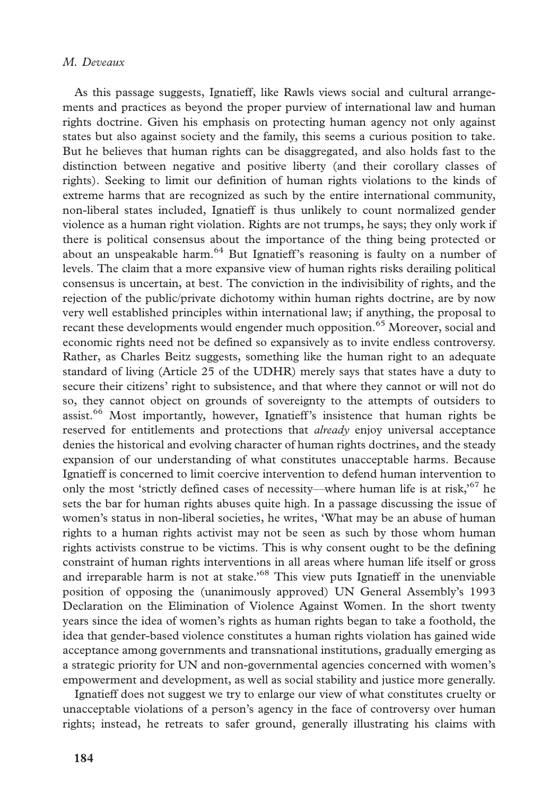As this passage suggests, Ignatieff, like Rawls views social and cultural arrangements and practices as beyond the proper purview of international law and human rights doctrine. Given his emphasis on protecting human agency not only against states but also against society and the family, this seems a curious position to take. But he believes that human rights can be disaggregated, and also holds fast to the distinction between negative and positive liberty (and their corollary classes of rights). Seeking to limit our definition of human rights violations to the kinds of extreme harms that are recognized as such by the entire international community, non-liberal states included, Ignatieff is thus unlikely to count normalized gender violence as a human right violation. Rights are not trumps, he says; they only work if there is political consensus about the importance of the thing being protected or about an unspeakable harm.<sup>64</sup> But Ignatieff's reasoning is faulty on a number of levels. The claim that a more expansive view of human rights risks derailing political consensus is uncertain, at best. The conviction in the indivisibility of rights, and the rejection of the public/private dichotomy within human rights doctrine, are by now very well established principles within international law; if anything, the proposal to recant these developments would engender much opposition.<sup>65</sup> Moreover, social and economic rights need not be defined so expansively as to invite endless controversy. Rather, as Charles Beitz suggests, something like the human right to an adequate standard of living (Article 25 of the UDHR) merely says that states have a duty to secure their citizens' right to subsistence, and that where they cannot or will not do so, they cannot object on grounds of sovereignty to the attempts of outsiders to assist.<sup>66</sup> Most importantly, however, Ignatieff's insistence that human rights be reserved for entitlements and protections that *already* enjoy universal acceptance denies the historical and evolving character of human rights doctrines, and the steady expansion of our understanding of what constitutes unacceptable harms. Because Ignatieff is concerned to limit coercive intervention to defend human intervention to only the most 'strictly defined cases of necessity—where human life is at risk, $\cdot^{67}$  he sets the bar for human rights abuses quite high. In a passage discussing the issue of women's status in non-liberal societies, he writes, 'What may be an abuse of human rights to a human rights activist may not be seen as such by those whom human rights activists construe to be victims. This is why consent ought to be the defining constraint of human rights interventions in all areas where human life itself or gross and irreparable harm is not at stake.'68 This view puts Ignatieff in the unenviable position of opposing the (unanimously approved) UN General Assembly's 1993 Declaration on the Elimination of Violence Against Women. In the short twenty years since the idea of women's rights as human rights began to take a foothold, the idea that gender-based violence constitutes a human rights violation has gained wide acceptance among governments and transnational institutions, gradually emerging as a strategic priority for UN and non-governmental agencies concerned with women's empowerment and development, as well as social stability and justice more generally.

Ignatieff does not suggest we try to enlarge our view of what constitutes cruelty or unacceptable violations of a person's agency in the face of controversy over human rights; instead, he retreats to safer ground, generally illustrating his claims with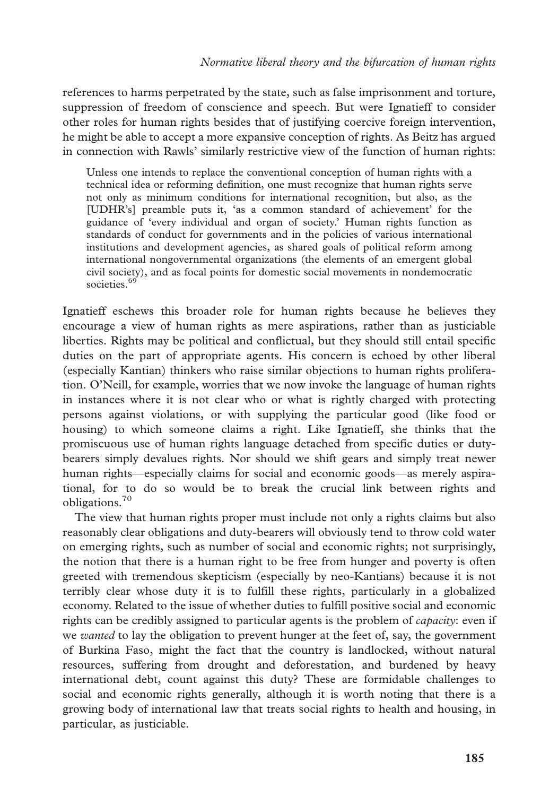references to harms perpetrated by the state, such as false imprisonment and torture, suppression of freedom of conscience and speech. But were Ignatieff to consider other roles for human rights besides that of justifying coercive foreign intervention, he might be able to accept a more expansive conception of rights. As Beitz has argued in connection with Rawls' similarly restrictive view of the function of human rights:

Unless one intends to replace the conventional conception of human rights with a technical idea or reforming definition, one must recognize that human rights serve not only as minimum conditions for international recognition, but also, as the [UDHR's] preamble puts it, 'as a common standard of achievement' for the guidance of 'every individual and organ of society.' Human rights function as standards of conduct for governments and in the policies of various international institutions and development agencies, as shared goals of political reform among international nongovernmental organizations (the elements of an emergent global civil society), and as focal points for domestic social movements in nondemocratic societies.<sup>69</sup>

Ignatieff eschews this broader role for human rights because he believes they encourage a view of human rights as mere aspirations, rather than as justiciable liberties. Rights may be political and conflictual, but they should still entail specific duties on the part of appropriate agents. His concern is echoed by other liberal (especially Kantian) thinkers who raise similar objections to human rights proliferation. O'Neill, for example, worries that we now invoke the language of human rights in instances where it is not clear who or what is rightly charged with protecting persons against violations, or with supplying the particular good (like food or housing) to which someone claims a right. Like Ignatieff, she thinks that the promiscuous use of human rights language detached from specific duties or dutybearers simply devalues rights. Nor should we shift gears and simply treat newer human rights—especially claims for social and economic goods—as merely aspirational, for to do so would be to break the crucial link between rights and obligations.70

The view that human rights proper must include not only a rights claims but also reasonably clear obligations and duty-bearers will obviously tend to throw cold water on emerging rights, such as number of social and economic rights; not surprisingly, the notion that there is a human right to be free from hunger and poverty is often greeted with tremendous skepticism (especially by neo-Kantians) because it is not terribly clear whose duty it is to fulfill these rights, particularly in a globalized economy. Related to the issue of whether duties to fulfill positive social and economic rights can be credibly assigned to particular agents is the problem of capacity: even if we *wanted* to lay the obligation to prevent hunger at the feet of, say, the government of Burkina Faso, might the fact that the country is landlocked, without natural resources, suffering from drought and deforestation, and burdened by heavy international debt, count against this duty? These are formidable challenges to social and economic rights generally, although it is worth noting that there is a growing body of international law that treats social rights to health and housing, in particular, as justiciable.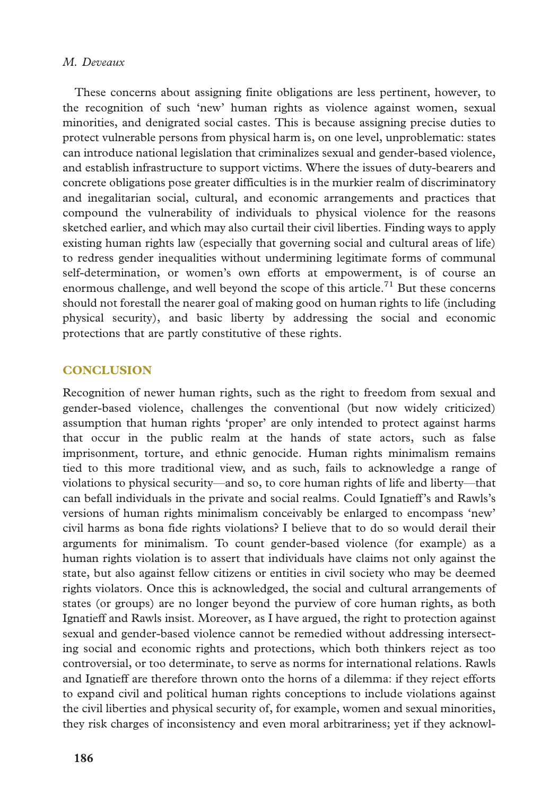These concerns about assigning finite obligations are less pertinent, however, to the recognition of such 'new' human rights as violence against women, sexual minorities, and denigrated social castes. This is because assigning precise duties to protect vulnerable persons from physical harm is, on one level, unproblematic: states can introduce national legislation that criminalizes sexual and gender-based violence, and establish infrastructure to support victims. Where the issues of duty-bearers and concrete obligations pose greater difficulties is in the murkier realm of discriminatory and inegalitarian social, cultural, and economic arrangements and practices that compound the vulnerability of individuals to physical violence for the reasons sketched earlier, and which may also curtail their civil liberties. Finding ways to apply existing human rights law (especially that governing social and cultural areas of life) to redress gender inequalities without undermining legitimate forms of communal self-determination, or women's own efforts at empowerment, is of course an enormous challenge, and well beyond the scope of this article.<sup>71</sup> But these concerns should not forestall the nearer goal of making good on human rights to life (including physical security), and basic liberty by addressing the social and economic protections that are partly constitutive of these rights.

# **CONCLUSION**

Recognition of newer human rights, such as the right to freedom from sexual and gender-based violence, challenges the conventional (but now widely criticized) assumption that human rights 'proper' are only intended to protect against harms that occur in the public realm at the hands of state actors, such as false imprisonment, torture, and ethnic genocide. Human rights minimalism remains tied to this more traditional view, and as such, fails to acknowledge a range of violations to physical security—and so, to core human rights of life and liberty—that can befall individuals in the private and social realms. Could Ignatieff's and Rawls's versions of human rights minimalism conceivably be enlarged to encompass 'new' civil harms as bona fide rights violations? I believe that to do so would derail their arguments for minimalism. To count gender-based violence (for example) as a human rights violation is to assert that individuals have claims not only against the state, but also against fellow citizens or entities in civil society who may be deemed rights violators. Once this is acknowledged, the social and cultural arrangements of states (or groups) are no longer beyond the purview of core human rights, as both Ignatieff and Rawls insist. Moreover, as I have argued, the right to protection against sexual and gender-based violence cannot be remedied without addressing intersecting social and economic rights and protections, which both thinkers reject as too controversial, or too determinate, to serve as norms for international relations. Rawls and Ignatieff are therefore thrown onto the horns of a dilemma: if they reject efforts to expand civil and political human rights conceptions to include violations against the civil liberties and physical security of, for example, women and sexual minorities, they risk charges of inconsistency and even moral arbitrariness; yet if they acknowl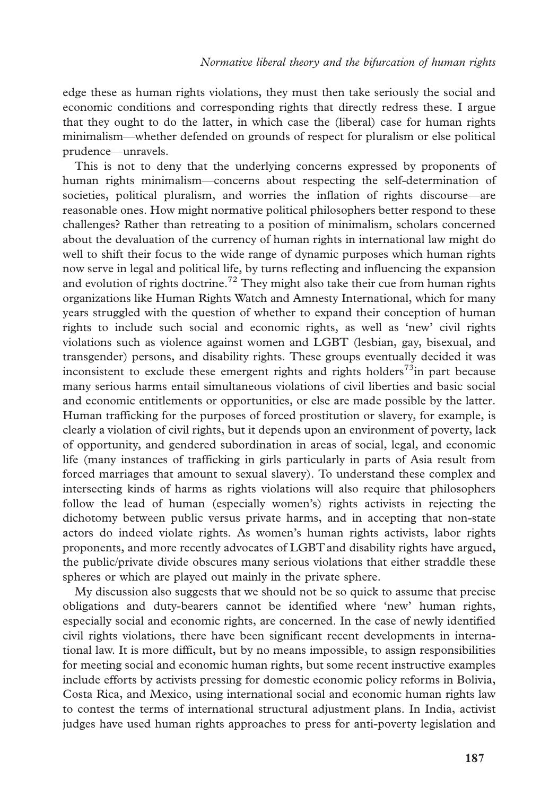edge these as human rights violations, they must then take seriously the social and economic conditions and corresponding rights that directly redress these. I argue that they ought to do the latter, in which case the (liberal) case for human rights minimalism—whether defended on grounds of respect for pluralism or else political prudence-unravels.

This is not to deny that the underlying concerns expressed by proponents of human rights minimalism—concerns about respecting the self-determination of societies, political pluralism, and worries the inflation of rights discourse—are reasonable ones. How might normative political philosophers better respond to these challenges? Rather than retreating to a position of minimalism, scholars concerned about the devaluation of the currency of human rights in international law might do well to shift their focus to the wide range of dynamic purposes which human rights now serve in legal and political life, by turns reflecting and influencing the expansion and evolution of rights doctrine.<sup>72</sup> They might also take their cue from human rights organizations like Human Rights Watch and Amnesty International, which for many years struggled with the question of whether to expand their conception of human rights to include such social and economic rights, as well as 'new' civil rights violations such as violence against women and LGBT (lesbian, gay, bisexual, and transgender) persons, and disability rights. These groups eventually decided it was inconsistent to exclude these emergent rights and rights holders<sup>73</sup>in part because many serious harms entail simultaneous violations of civil liberties and basic social and economic entitlements or opportunities, or else are made possible by the latter. Human trafficking for the purposes of forced prostitution or slavery, for example, is clearly a violation of civil rights, but it depends upon an environment of poverty, lack of opportunity, and gendered subordination in areas of social, legal, and economic life (many instances of trafficking in girls particularly in parts of Asia result from forced marriages that amount to sexual slavery). To understand these complex and intersecting kinds of harms as rights violations will also require that philosophers follow the lead of human (especially women's) rights activists in rejecting the dichotomy between public versus private harms, and in accepting that non-state actors do indeed violate rights. As women's human rights activists, labor rights proponents, and more recently advocates of LGBT and disability rights have argued, the public/private divide obscures many serious violations that either straddle these spheres or which are played out mainly in the private sphere.

My discussion also suggests that we should not be so quick to assume that precise obligations and duty-bearers cannot be identified where 'new' human rights, especially social and economic rights, are concerned. In the case of newly identified civil rights violations, there have been significant recent developments in international law. It is more difficult, but by no means impossible, to assign responsibilities for meeting social and economic human rights, but some recent instructive examples include efforts by activists pressing for domestic economic policy reforms in Bolivia, Costa Rica, and Mexico, using international social and economic human rights law to contest the terms of international structural adjustment plans. In India, activist judges have used human rights approaches to press for anti-poverty legislation and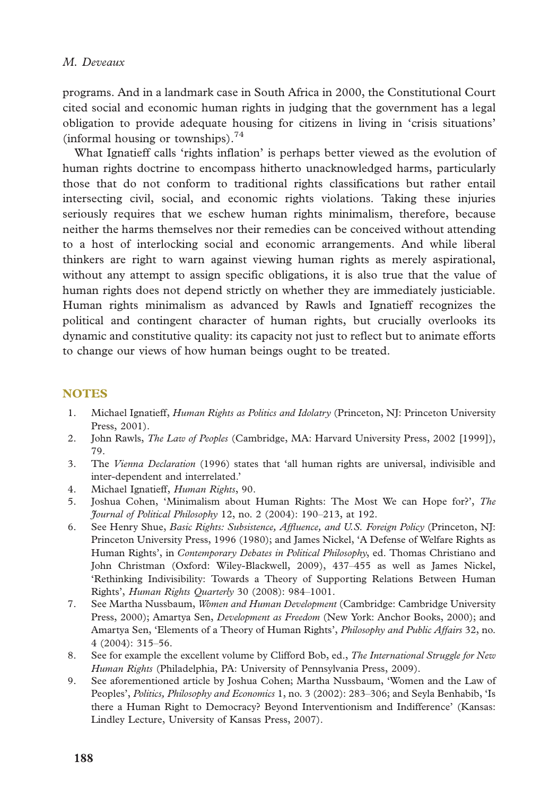programs. And in a landmark case in South Africa in 2000, the Constitutional Court cited social and economic human rights in judging that the government has a legal obligation to provide adequate housing for citizens in living in 'crisis situations' (informal housing or townships).<sup>74</sup>

What Ignatieff calls 'rights inflation' is perhaps better viewed as the evolution of human rights doctrine to encompass hitherto unacknowledged harms, particularly those that do not conform to traditional rights classifications but rather entail intersecting civil, social, and economic rights violations. Taking these injuries seriously requires that we eschew human rights minimalism, therefore, because neither the harms themselves nor their remedies can be conceived without attending to a host of interlocking social and economic arrangements. And while liberal thinkers are right to warn against viewing human rights as merely aspirational, without any attempt to assign specific obligations, it is also true that the value of human rights does not depend strictly on whether they are immediately justiciable. Human rights minimalism as advanced by Rawls and Ignatieff recognizes the political and contingent character of human rights, but crucially overlooks its dynamic and constitutive quality: its capacity not just to reflect but to animate efforts to change our views of how human beings ought to be treated.

# **NOTES**

- 1. Michael Ignatieff, *Human Rights as Politics and Idolatry* (Princeton, NJ: Princeton University Press, 2001).
- 2. John Rawls, *The Law of Peoples* (Cambridge, MA: Harvard University Press, 2002 [1999]), 79.
- 3. The Vienna Declaration (1996) states that 'all human rights are universal, indivisible and inter-dependent and interrelated.'
- 4. Michael Ignatieff, Human Rights, 90.
- 5. Joshua Cohen, 'Minimalism about Human Rights: The Most We can Hope for?', The Journal of Political Philosophy 12, no. 2 (2004): 190-213, at 192.
- 6. See Henry Shue, Basic Rights: Subsistence, Affluence, and U.S. Foreign Policy (Princeton, NJ: Princeton University Press, 1996 (1980); and James Nickel, 'A Defense of Welfare Rights as Human Rights', in Contemporary Debates in Political Philosophy, ed. Thomas Christiano and John Christman (Oxford: Wiley-Blackwell, 2009), 437-455 as well as James Nickel, 'Rethinking Indivisibility: Towards a Theory of Supporting Relations Between Human Rights', Human Rights Quarterly 30 (2008): 984-1001.
- 7. See Martha Nussbaum, Women and Human Development (Cambridge: Cambridge University Press, 2000); Amartya Sen, Development as Freedom (New York: Anchor Books, 2000); and Amartya Sen, 'Elements of a Theory of Human Rights', Philosophy and Public Affairs 32, no.  $4(2004): 315 - 56.$
- 8. See for example the excellent volume by Clifford Bob, ed., The International Struggle for New Human Rights (Philadelphia, PA: University of Pennsylvania Press, 2009).
- 9. See aforementioned article by Joshua Cohen; Martha Nussbaum, 'Women and the Law of Peoples', Politics, Philosophy and Economics 1, no. 3 (2002): 283-306; and Seyla Benhabib, 'Is there a Human Right to Democracy? Beyond Interventionism and Indifference' (Kansas: Lindley Lecture, University of Kansas Press, 2007).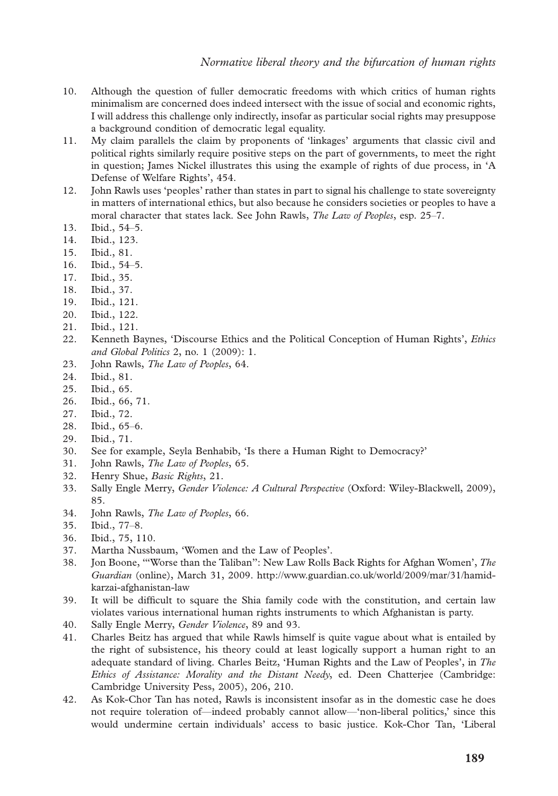- 10. Although the question of fuller democratic freedoms with which critics of human rights minimalism are concerned does indeed intersect with the issue of social and economic rights, I will address this challenge only indirectly, insofar as particular social rights may presuppose a background condition of democratic legal equality.
- 11. My claim parallels the claim by proponents of 'linkages' arguments that classic civil and political rights similarly require positive steps on the part of governments, to meet the right in question; James Nickel illustrates this using the example of rights of due process, in 'A Defense of Welfare Rights', 454.
- 12. John Rawls uses 'peoples' rather than states in part to signal his challenge to state sovereignty in matters of international ethics, but also because he considers societies or peoples to have a moral character that states lack. See John Rawls, The Law of Peoples, esp. 25-7.
- 13. Ibid., 54–5.
- 14. Ibid., 123.
- 15. Ibid., 81.
- 16. Ibid., 54-5.
- 17. Ibid., 35.
- 18. Ibid., 37.
- 19. Ibid., 121.
- 20. Ibid., 122.
- 21. Ibid., 121.
- 22. Kenneth Baynes, 'Discourse Ethics and the Political Conception of Human Rights', *Ethics* and Global Politics 2, no. 1 (2009): 1.
- 23. John Rawls, The Law of Peoples, 64.
- 24. Ibid., 81.
- 25. Ibid., 65.
- 26. Ibid., 66, 71.
- 27. Ibid., 72.
- 28. Ibid., 65-6.
- 29. Ibid., 71.
- 30. See for example, Seyla Benhabib, 'Is there a Human Right to Democracy?'
- 31. John Rawls, The Law of Peoples, 65.
- 32. Henry Shue, Basic Rights, 21.
- 33. Sally Engle Merry, Gender Violence: A Cultural Perspective (Oxford: Wiley-Blackwell, 2009), 85.
- 34. John Rawls, The Law of Peoples, 66.
- 35. Ibid., 77-8.
- 36. Ibid., 75, 110.
- 37. Martha Nussbaum, 'Women and the Law of Peoples'.
- 38. Jon Boone, '''Worse than the Taliban'': New Law Rolls Back Rights for Afghan Women', The Guardian (online), March 31, 2009. http://www.guardian.co.uk/world/2009/mar/31/hamidkarzai-afghanistan-law
- 39. It will be difficult to square the Shia family code with the constitution, and certain law violates various international human rights instruments to which Afghanistan is party.
- 40. Sally Engle Merry, Gender Violence, 89 and 93.
- 41. Charles Beitz has argued that while Rawls himself is quite vague about what is entailed by the right of subsistence, his theory could at least logically support a human right to an adequate standard of living. Charles Beitz, 'Human Rights and the Law of Peoples', in The Ethics of Assistance: Morality and the Distant Needy, ed. Deen Chatterjee (Cambridge: Cambridge University Pess, 2005), 206, 210.
- 42. As Kok-Chor Tan has noted, Rawls is inconsistent insofar as in the domestic case he does not require toleration of—indeed probably cannot allow—'non-liberal politics,' since this would undermine certain individuals' access to basic justice. Kok-Chor Tan, 'Liberal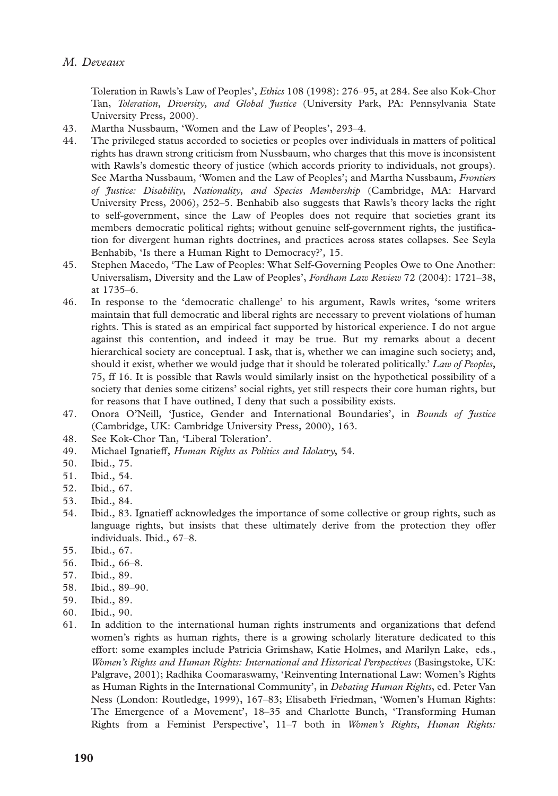Toleration in Rawls's Law of Peoples', *Ethics* 108 (1998): 276–95, at 284. See also Kok-Chor Tan, Toleration, Diversity, and Global Justice (University Park, PA: Pennsylvania State University Press, 2000).

- 43. Martha Nussbaum, 'Women and the Law of Peoples', 293-4.
- 44. The privileged status accorded to societies or peoples over individuals in matters of political rights has drawn strong criticism from Nussbaum, who charges that this move is inconsistent with Rawls's domestic theory of justice (which accords priority to individuals, not groups). See Martha Nussbaum, 'Women and the Law of Peoples'; and Martha Nussbaum, Frontiers of Justice: Disability, Nationality, and Species Membership (Cambridge, MA: Harvard University Press,  $2006$ ),  $252-5$ . Benhabib also suggests that Rawls's theory lacks the right to self-government, since the Law of Peoples does not require that societies grant its members democratic political rights; without genuine self-government rights, the justification for divergent human rights doctrines, and practices across states collapses. See Seyla Benhabib, 'Is there a Human Right to Democracy?', 15.
- 45. Stephen Macedo, 'The Law of Peoples: What Self-Governing Peoples Owe to One Another: Universalism, Diversity and the Law of Peoples', *Fordham Law Review* 72 (2004): 1721–38, at 1735-6.
- 46. In response to the 'democratic challenge' to his argument, Rawls writes, 'some writers maintain that full democratic and liberal rights are necessary to prevent violations of human rights. This is stated as an empirical fact supported by historical experience. I do not argue against this contention, and indeed it may be true. But my remarks about a decent hierarchical society are conceptual. I ask, that is, whether we can imagine such society; and, should it exist, whether we would judge that it should be tolerated politically.' Law of Peoples, 75, ff 16. It is possible that Rawls would similarly insist on the hypothetical possibility of a society that denies some citizens' social rights, yet still respects their core human rights, but for reasons that I have outlined, I deny that such a possibility exists.
- 47. Onora O'Neill, 'Justice, Gender and International Boundaries', in Bounds of Justice (Cambridge, UK: Cambridge University Press, 2000), 163.
- 48. See Kok-Chor Tan, 'Liberal Toleration'.
- 49. Michael Ignatieff, Human Rights as Politics and Idolatry, 54.
- 50. Ibid., 75.
- 51. Ibid., 54.
- 52. Ibid., 67.
- 53. Ibid., 84.
- 54. Ibid., 83. Ignatieff acknowledges the importance of some collective or group rights, such as language rights, but insists that these ultimately derive from the protection they offer individuals. Ibid.,  $67-8$ .
- 55. Ibid., 67.
- 56. Ibid., 66-8.
- 57. Ibid., 89.
- 58. Ibid., 89-90.
- 59. Ibid., 89.
- 60. Ibid., 90.
- 61. In addition to the international human rights instruments and organizations that defend women's rights as human rights, there is a growing scholarly literature dedicated to this effort: some examples include Patricia Grimshaw, Katie Holmes, and Marilyn Lake, eds., Women's Rights and Human Rights: International and Historical Perspectives (Basingstoke, UK: Palgrave, 2001); Radhika Coomaraswamy, 'Reinventing International Law: Women's Rights as Human Rights in the International Community', in Debating Human Rights, ed. Peter Van Ness (London: Routledge, 1999), 167-83; Elisabeth Friedman, 'Women's Human Rights: The Emergence of a Movement', 18–35 and Charlotte Bunch, 'Transforming Human Rights from a Feminist Perspective', 11-7 both in Women's Rights, Human Rights: